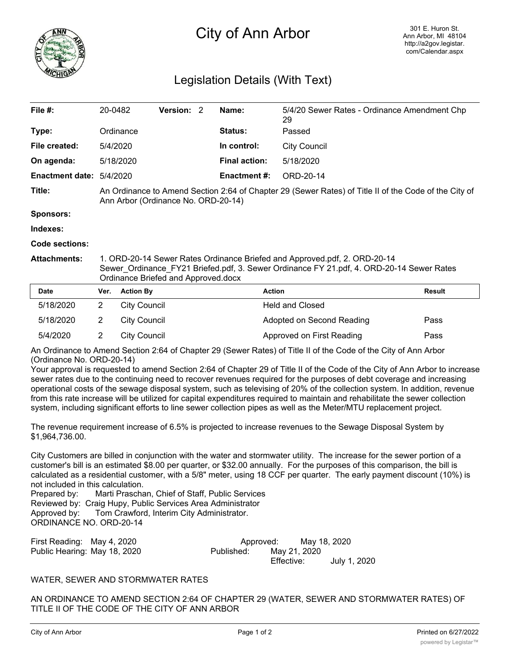

## City of Ann Arbor

## Legislation Details (With Text)

| File $#$ :               | 20-0482                                                                                                                                                               | <b>Version: 2</b> |  | Name:                | 5/4/20 Sewer Rates - Ordinance Amendment Chp<br>29 |  |  |
|--------------------------|-----------------------------------------------------------------------------------------------------------------------------------------------------------------------|-------------------|--|----------------------|----------------------------------------------------|--|--|
| Type:                    | Ordinance                                                                                                                                                             |                   |  | <b>Status:</b>       | Passed                                             |  |  |
| File created:            | 5/4/2020                                                                                                                                                              |                   |  | In control:          | <b>City Council</b>                                |  |  |
| On agenda:               | 5/18/2020                                                                                                                                                             |                   |  | <b>Final action:</b> | 5/18/2020                                          |  |  |
| Enactment date: 5/4/2020 |                                                                                                                                                                       |                   |  | Enactment #:         | ORD-20-14                                          |  |  |
| Title:                   | An Ordinance to Amend Section 2:64 of Chapter 29 (Sewer Rates) of Title II of the Code of the City of<br>Ann Arbor (Ordinance No. ORD-20-14)                          |                   |  |                      |                                                    |  |  |
| <b>Sponsors:</b>         |                                                                                                                                                                       |                   |  |                      |                                                    |  |  |
| Indexes:                 |                                                                                                                                                                       |                   |  |                      |                                                    |  |  |
| Code sections:           |                                                                                                                                                                       |                   |  |                      |                                                    |  |  |
| <b>Attachments:</b>      | 1. ORD-20-14 Sewer Rates Ordinance Briefed and Approved.pdf, 2. ORD-20-14<br>Sewer_Ordinance_FY21 Briefed.pdf, 3. Sewer Ordinance FY 21.pdf, 4. ORD-20-14 Sewer Rates |                   |  |                      |                                                    |  |  |

Ordinance Briefed and Approved.docx

| <b>Date</b> | Ver. | <b>Action By</b>    | <b>Action</b>             | Result |
|-------------|------|---------------------|---------------------------|--------|
| 5/18/2020   |      | City Council        | <b>Held and Closed</b>    |        |
| 5/18/2020   |      | City Council        | Adopted on Second Reading | Pass   |
| 5/4/2020    |      | <b>City Council</b> | Approved on First Reading | Pass   |

An Ordinance to Amend Section 2:64 of Chapter 29 (Sewer Rates) of Title II of the Code of the City of Ann Arbor (Ordinance No. ORD-20-14)

Your approval is requested to amend Section 2:64 of Chapter 29 of Title II of the Code of the City of Ann Arbor to increase sewer rates due to the continuing need to recover revenues required for the purposes of debt coverage and increasing operational costs of the sewage disposal system, such as televising of 20% of the collection system. In addition, revenue from this rate increase will be utilized for capital expenditures required to maintain and rehabilitate the sewer collection system, including significant efforts to line sewer collection pipes as well as the Meter/MTU replacement project.

The revenue requirement increase of 6.5% is projected to increase revenues to the Sewage Disposal System by \$1,964,736.00.

City Customers are billed in conjunction with the water and stormwater utility. The increase for the sewer portion of a customer's bill is an estimated \$8.00 per quarter, or \$32.00 annually. For the purposes of this comparison, the bill is calculated as a residential customer, with a 5/8" meter, using 18 CCF per quarter. The early payment discount (10%) is not included in this calculation.

Prepared by: Marti Praschan, Chief of Staff, Public Services Reviewed by: Craig Hupy, Public Services Area Administrator Approved by: Tom Crawford, Interim City Administrator. ORDINANCE NO. ORD-20-14

| First Reading: May 4, 2020   | Approved:  |              | May 18, 2020 |              |  |
|------------------------------|------------|--------------|--------------|--------------|--|
| Public Hearing: May 18, 2020 | Published: | May 21, 2020 |              |              |  |
|                              |            | Effective:   |              | July 1, 2020 |  |

## WATER, SEWER AND STORMWATER RATES

AN ORDINANCE TO AMEND SECTION 2:64 OF CHAPTER 29 (WATER, SEWER AND STORMWATER RATES) OF TITLE II OF THE CODE OF THE CITY OF ANN ARBOR